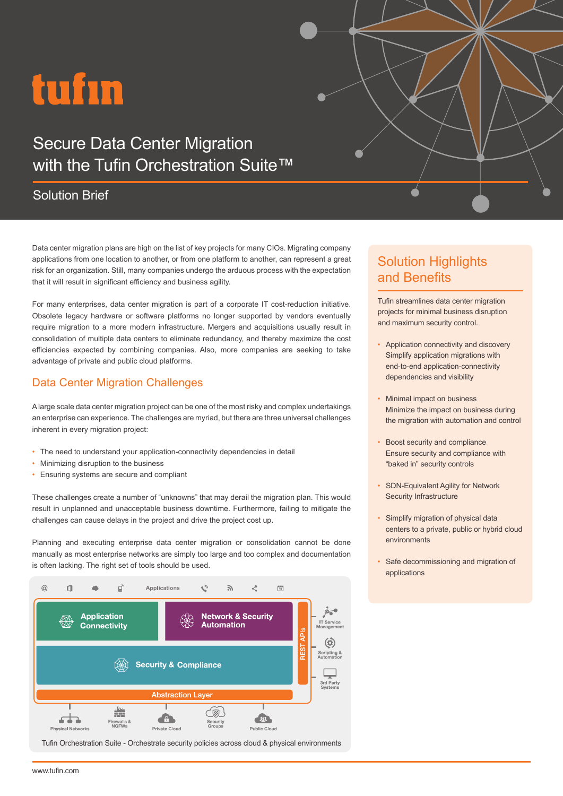# tufin

## Secure Data Center Migration with the Tufin Orchestration Suite™

## Solution Brief

Data center migration plans are high on the list of key projects for many CIOs. Migrating company applications from one location to another, or from one platform to another, can represent a great risk for an organization. Still, many companies undergo the arduous process with the expectation that it will result in significant efficiency and business agility.

For many enterprises, data center migration is part of a corporate IT cost-reduction initiative. Obsolete legacy hardware or software platforms no longer supported by vendors eventually require migration to a more modern infrastructure. Mergers and acquisitions usually result in consolidation of multiple data centers to eliminate redundancy, and thereby maximize the cost efficiencies expected by combining companies. Also, more companies are seeking to take advantage of private and public cloud platforms.

### Data Center Migration Challenges

A large scale data center migration project can be one of the most risky and complex undertakings an enterprise can experience. The challenges are myriad, but there are three universal challenges inherent in every migration project:

- The need to understand your application-connectivity dependencies in detail
- Minimizing disruption to the business
- Ensuring systems are secure and compliant

These challenges create a number of "unknowns" that may derail the migration plan. This would result in unplanned and unacceptable business downtime. Furthermore, failing to mitigate the challenges can cause delays in the project and drive the project cost up.

Planning and executing enterprise data center migration or consolidation cannot be done manually as most enterprise networks are simply too large and too complex and documentation is often lacking. The right set of tools should be used.



Tufin Orchestration Suite - Orchestrate security policies across cloud & physical environments

## Solution Highlights and Benefits

Tufin streamlines data center migration projects for minimal business disruption and maximum security control.

- Application connectivity and discovery Simplify application migrations with end-to-end application-connectivity dependencies and visibility
- Minimal impact on business Minimize the impact on business during the migration with automation and control
- Boost security and compliance Ensure security and compliance with "baked in" security controls
- SDN-Equivalent Agility for Network Security Infrastructure
- Simplify migration of physical data centers to a private, public or hybrid cloud environments
- Safe decommissioning and migration of applications